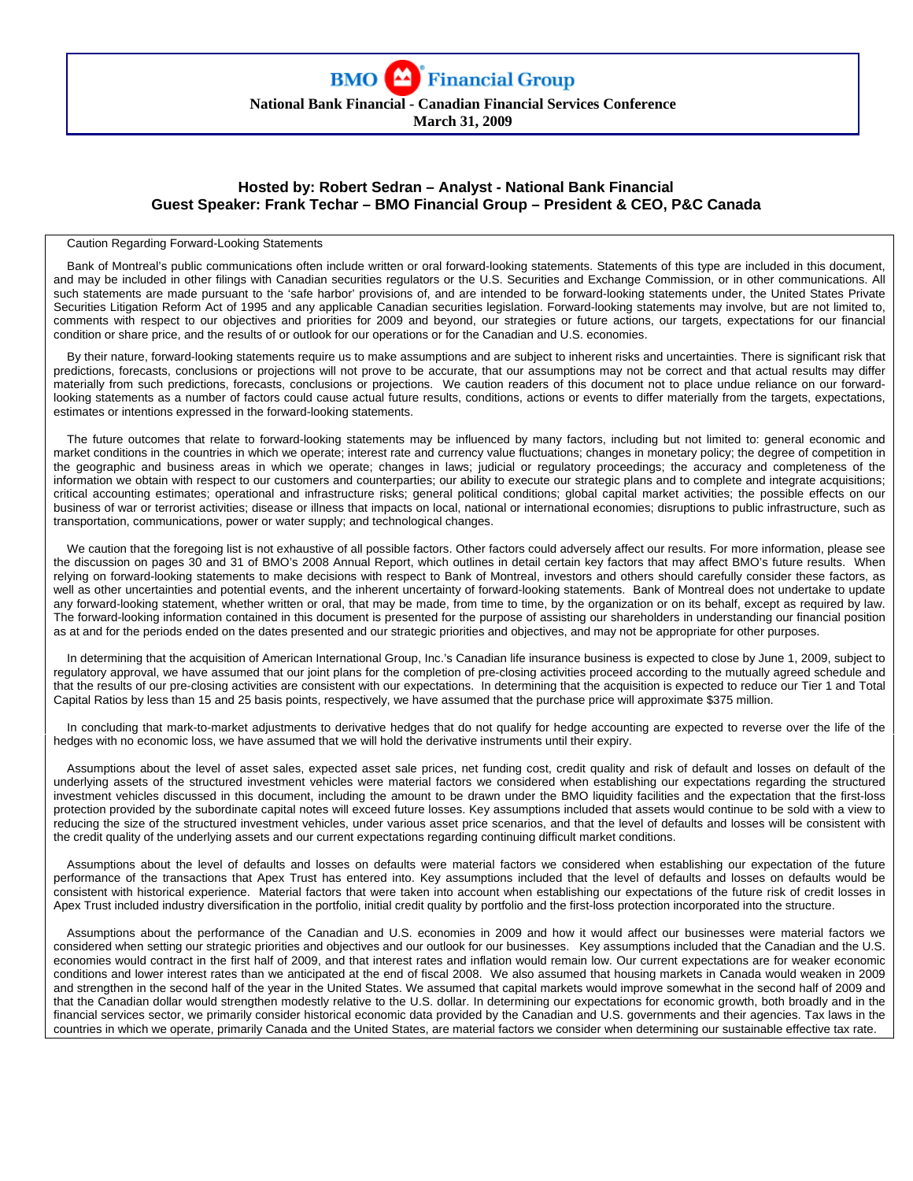**BMO** Financial Group

**National Bank Financial - Canadian Financial Services Conference** 

**March 31, 2009**

# **Hosted by: Robert Sedran – Analyst - National Bank Financial Guest Speaker: Frank Techar – BMO Financial Group – President & CEO, P&C Canada**

# Caution Regarding Forward-Looking Statements

Bank of Montreal's public communications often include written or oral forward-looking statements. Statements of this type are included in this document, and may be included in other filings with Canadian securities regulators or the U.S. Securities and Exchange Commission, or in other communications. All such statements are made pursuant to the 'safe harbor' provisions of, and are intended to be forward-looking statements under, the United States Private Securities Litigation Reform Act of 1995 and any applicable Canadian securities legislation. Forward-looking statements may involve, but are not limited to, comments with respect to our objectives and priorities for 2009 and beyond, our strategies or future actions, our targets, expectations for our financial condition or share price, and the results of or outlook for our operations or for the Canadian and U.S. economies.

By their nature, forward-looking statements require us to make assumptions and are subject to inherent risks and uncertainties. There is significant risk that predictions, forecasts, conclusions or projections will not prove to be accurate, that our assumptions may not be correct and that actual results may differ materially from such predictions, forecasts, conclusions or projections. We caution readers of this document not to place undue reliance on our forwardlooking statements as a number of factors could cause actual future results, conditions, actions or events to differ materially from the targets, expectations, estimates or intentions expressed in the forward-looking statements.

The future outcomes that relate to forward-looking statements may be influenced by many factors, including but not limited to: general economic and market conditions in the countries in which we operate; interest rate and currency value fluctuations; changes in monetary policy; the degree of competition in the geographic and business areas in which we operate; changes in laws; judicial or regulatory proceedings; the accuracy and completeness of the information we obtain with respect to our customers and counterparties; our ability to execute our strategic plans and to complete and integrate acquisitions; critical accounting estimates; operational and infrastructure risks; general political conditions; global capital market activities; the possible effects on our business of war or terrorist activities; disease or illness that impacts on local, national or international economies; disruptions to public infrastructure, such as transportation, communications, power or water supply; and technological changes.

We caution that the foregoing list is not exhaustive of all possible factors. Other factors could adversely affect our results. For more information, please see the discussion on pages 30 and 31 of BMO's 2008 Annual Report, which outlines in detail certain key factors that may affect BMO's future results. When relying on forward-looking statements to make decisions with respect to Bank of Montreal, investors and others should carefully consider these factors, as well as other uncertainties and potential events, and the inherent uncertainty of forward-looking statements. Bank of Montreal does not undertake to update any forward-looking statement, whether written or oral, that may be made, from time to time, by the organization or on its behalf, except as required by law. The forward-looking information contained in this document is presented for the purpose of assisting our shareholders in understanding our financial position as at and for the periods ended on the dates presented and our strategic priorities and objectives, and may not be appropriate for other purposes.

In determining that the acquisition of American International Group, Inc.'s Canadian life insurance business is expected to close by June 1, 2009, subject to regulatory approval, we have assumed that our joint plans for the completion of pre-closing activities proceed according to the mutually agreed schedule and that the results of our pre-closing activities are consistent with our expectations. In determining that the acquisition is expected to reduce our Tier 1 and Total Capital Ratios by less than 15 and 25 basis points, respectively, we have assumed that the purchase price will approximate \$375 million.

In concluding that mark-to-market adjustments to derivative hedges that do not qualify for hedge accounting are expected to reverse over the life of the hedges with no economic loss, we have assumed that we will hold the derivative instruments until their expiry.

Assumptions about the level of asset sales, expected asset sale prices, net funding cost, credit quality and risk of default and losses on default of the underlying assets of the structured investment vehicles were material factors we considered when establishing our expectations regarding the structured investment vehicles discussed in this document, including the amount to be drawn under the BMO liquidity facilities and the expectation that the first-loss protection provided by the subordinate capital notes will exceed future losses. Key assumptions included that assets would continue to be sold with a view to reducing the size of the structured investment vehicles, under various asset price scenarios, and that the level of defaults and losses will be consistent with the credit quality of the underlying assets and our current expectations regarding continuing difficult market conditions.

Assumptions about the level of defaults and losses on defaults were material factors we considered when establishing our expectation of the future performance of the transactions that Apex Trust has entered into. Key assumptions included that the level of defaults and losses on defaults would be consistent with historical experience. Material factors that were taken into account when establishing our expectations of the future risk of credit losses in Apex Trust included industry diversification in the portfolio, initial credit quality by portfolio and the first-loss protection incorporated into the structure.

Assumptions about the performance of the Canadian and U.S. economies in 2009 and how it would affect our businesses were material factors we considered when setting our strategic priorities and objectives and our outlook for our businesses. Key assumptions included that the Canadian and the U.S. economies would contract in the first half of 2009, and that interest rates and inflation would remain low. Our current expectations are for weaker economic conditions and lower interest rates than we anticipated at the end of fiscal 2008. We also assumed that housing markets in Canada would weaken in 2009 and strengthen in the second half of the year in the United States. We assumed that capital markets would improve somewhat in the second half of 2009 and that the Canadian dollar would strengthen modestly relative to the U.S. dollar. In determining our expectations for economic growth, both broadly and in the financial services sector, we primarily consider historical economic data provided by the Canadian and U.S. governments and their agencies. Tax laws in the countries in which we operate, primarily Canada and the United States, are material factors we consider when determining our sustainable effective tax rate.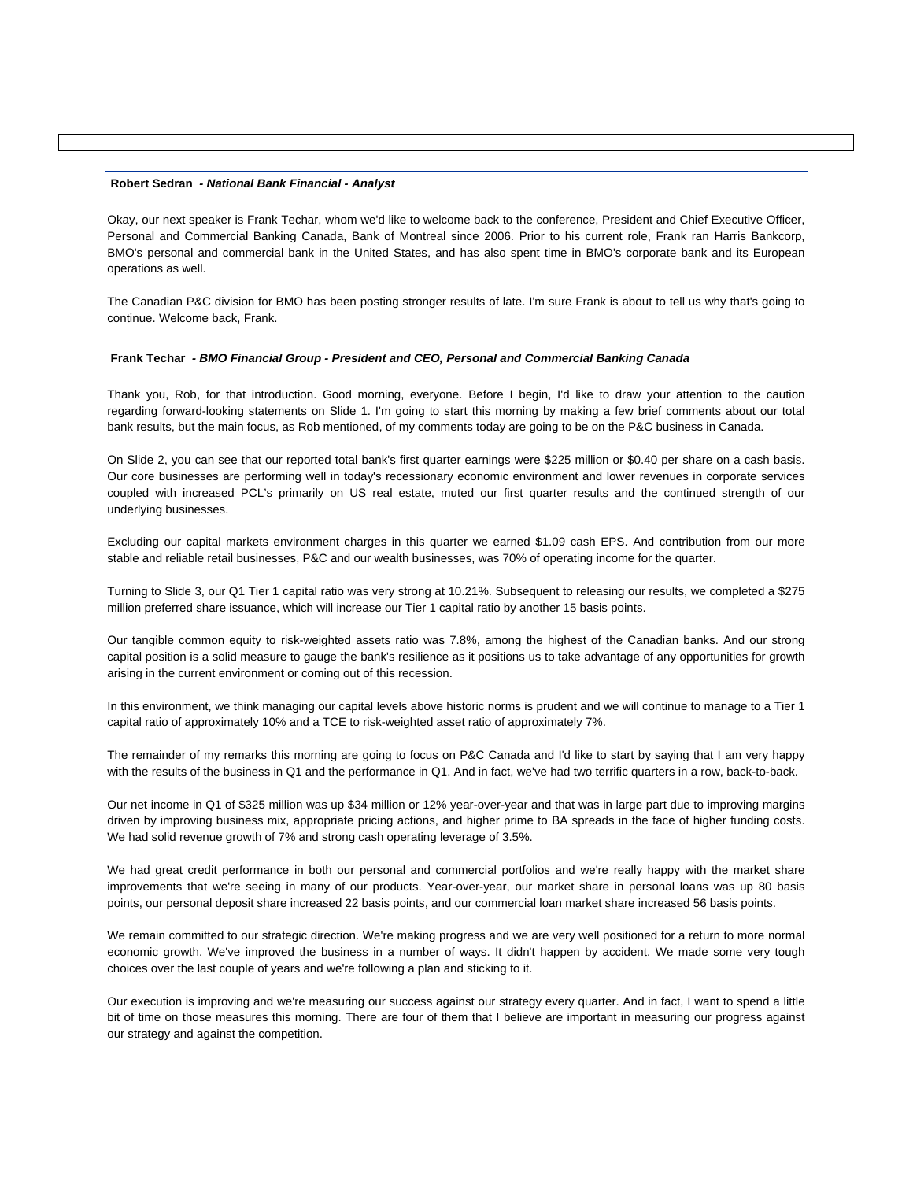## **Robert Sedran** *- National Bank Financial - Analyst*

Okay, our next speaker is Frank Techar, whom we'd like to welcome back to the conference, President and Chief Executive Officer, Personal and Commercial Banking Canada, Bank of Montreal since 2006. Prior to his current role, Frank ran Harris Bankcorp, BMO's personal and commercial bank in the United States, and has also spent time in BMO's corporate bank and its European operations as well.

The Canadian P&C division for BMO has been posting stronger results of late. I'm sure Frank is about to tell us why that's going to continue. Welcome back, Frank.

#### **Frank Techar** *- BMO Financial Group - President and CEO, Personal and Commercial Banking Canada*

Thank you, Rob, for that introduction. Good morning, everyone. Before I begin, I'd like to draw your attention to the caution regarding forward-looking statements on Slide 1. I'm going to start this morning by making a few brief comments about our total bank results, but the main focus, as Rob mentioned, of my comments today are going to be on the P&C business in Canada.

On Slide 2, you can see that our reported total bank's first quarter earnings were \$225 million or \$0.40 per share on a cash basis. Our core businesses are performing well in today's recessionary economic environment and lower revenues in corporate services coupled with increased PCL's primarily on US real estate, muted our first quarter results and the continued strength of our underlying businesses.

Excluding our capital markets environment charges in this quarter we earned \$1.09 cash EPS. And contribution from our more stable and reliable retail businesses, P&C and our wealth businesses, was 70% of operating income for the quarter.

Turning to Slide 3, our Q1 Tier 1 capital ratio was very strong at 10.21%. Subsequent to releasing our results, we completed a \$275 million preferred share issuance, which will increase our Tier 1 capital ratio by another 15 basis points.

Our tangible common equity to risk-weighted assets ratio was 7.8%, among the highest of the Canadian banks. And our strong capital position is a solid measure to gauge the bank's resilience as it positions us to take advantage of any opportunities for growth arising in the current environment or coming out of this recession.

In this environment, we think managing our capital levels above historic norms is prudent and we will continue to manage to a Tier 1 capital ratio of approximately 10% and a TCE to risk-weighted asset ratio of approximately 7%.

The remainder of my remarks this morning are going to focus on P&C Canada and I'd like to start by saying that I am very happy with the results of the business in Q1 and the performance in Q1. And in fact, we've had two terrific quarters in a row, back-to-back.

Our net income in Q1 of \$325 million was up \$34 million or 12% year-over-year and that was in large part due to improving margins driven by improving business mix, appropriate pricing actions, and higher prime to BA spreads in the face of higher funding costs. We had solid revenue growth of 7% and strong cash operating leverage of 3.5%.

We had great credit performance in both our personal and commercial portfolios and we're really happy with the market share improvements that we're seeing in many of our products. Year-over-year, our market share in personal loans was up 80 basis points, our personal deposit share increased 22 basis points, and our commercial loan market share increased 56 basis points.

We remain committed to our strategic direction. We're making progress and we are very well positioned for a return to more normal economic growth. We've improved the business in a number of ways. It didn't happen by accident. We made some very tough choices over the last couple of years and we're following a plan and sticking to it.

Our execution is improving and we're measuring our success against our strategy every quarter. And in fact, I want to spend a little bit of time on those measures this morning. There are four of them that I believe are important in measuring our progress against our strategy and against the competition.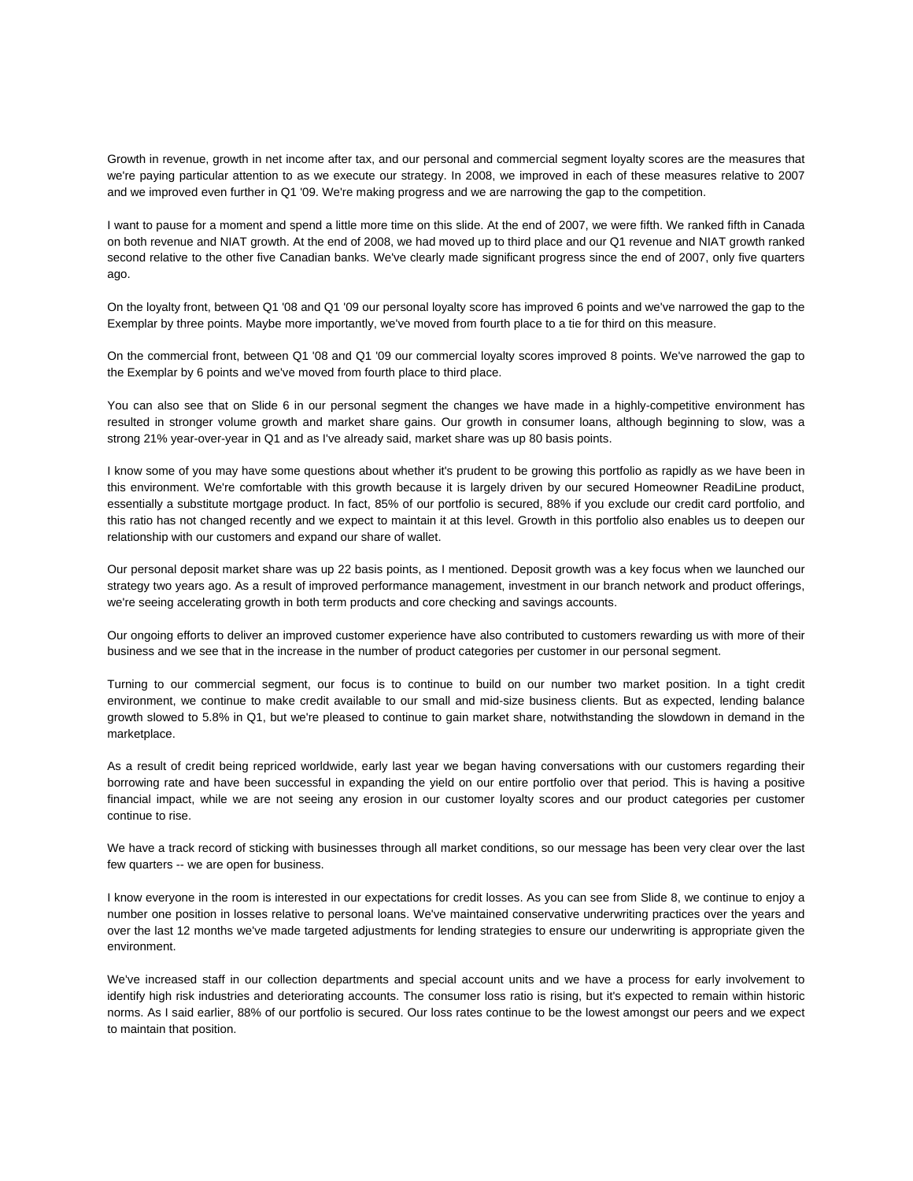Growth in revenue, growth in net income after tax, and our personal and commercial segment loyalty scores are the measures that we're paying particular attention to as we execute our strategy. In 2008, we improved in each of these measures relative to 2007 and we improved even further in Q1 '09. We're making progress and we are narrowing the gap to the competition.

I want to pause for a moment and spend a little more time on this slide. At the end of 2007, we were fifth. We ranked fifth in Canada on both revenue and NIAT growth. At the end of 2008, we had moved up to third place and our Q1 revenue and NIAT growth ranked second relative to the other five Canadian banks. We've clearly made significant progress since the end of 2007, only five quarters ago.

On the loyalty front, between Q1 '08 and Q1 '09 our personal loyalty score has improved 6 points and we've narrowed the gap to the Exemplar by three points. Maybe more importantly, we've moved from fourth place to a tie for third on this measure.

On the commercial front, between Q1 '08 and Q1 '09 our commercial loyalty scores improved 8 points. We've narrowed the gap to the Exemplar by 6 points and we've moved from fourth place to third place.

You can also see that on Slide 6 in our personal segment the changes we have made in a highly-competitive environment has resulted in stronger volume growth and market share gains. Our growth in consumer loans, although beginning to slow, was a strong 21% year-over-year in Q1 and as I've already said, market share was up 80 basis points.

I know some of you may have some questions about whether it's prudent to be growing this portfolio as rapidly as we have been in this environment. We're comfortable with this growth because it is largely driven by our secured Homeowner ReadiLine product, essentially a substitute mortgage product. In fact, 85% of our portfolio is secured, 88% if you exclude our credit card portfolio, and this ratio has not changed recently and we expect to maintain it at this level. Growth in this portfolio also enables us to deepen our relationship with our customers and expand our share of wallet.

Our personal deposit market share was up 22 basis points, as I mentioned. Deposit growth was a key focus when we launched our strategy two years ago. As a result of improved performance management, investment in our branch network and product offerings, we're seeing accelerating growth in both term products and core checking and savings accounts.

Our ongoing efforts to deliver an improved customer experience have also contributed to customers rewarding us with more of their business and we see that in the increase in the number of product categories per customer in our personal segment.

Turning to our commercial segment, our focus is to continue to build on our number two market position. In a tight credit environment, we continue to make credit available to our small and mid-size business clients. But as expected, lending balance growth slowed to 5.8% in Q1, but we're pleased to continue to gain market share, notwithstanding the slowdown in demand in the marketplace.

As a result of credit being repriced worldwide, early last year we began having conversations with our customers regarding their borrowing rate and have been successful in expanding the yield on our entire portfolio over that period. This is having a positive financial impact, while we are not seeing any erosion in our customer loyalty scores and our product categories per customer continue to rise.

We have a track record of sticking with businesses through all market conditions, so our message has been very clear over the last few quarters -- we are open for business.

I know everyone in the room is interested in our expectations for credit losses. As you can see from Slide 8, we continue to enjoy a number one position in losses relative to personal loans. We've maintained conservative underwriting practices over the years and over the last 12 months we've made targeted adjustments for lending strategies to ensure our underwriting is appropriate given the environment.

We've increased staff in our collection departments and special account units and we have a process for early involvement to identify high risk industries and deteriorating accounts. The consumer loss ratio is rising, but it's expected to remain within historic norms. As I said earlier, 88% of our portfolio is secured. Our loss rates continue to be the lowest amongst our peers and we expect to maintain that position.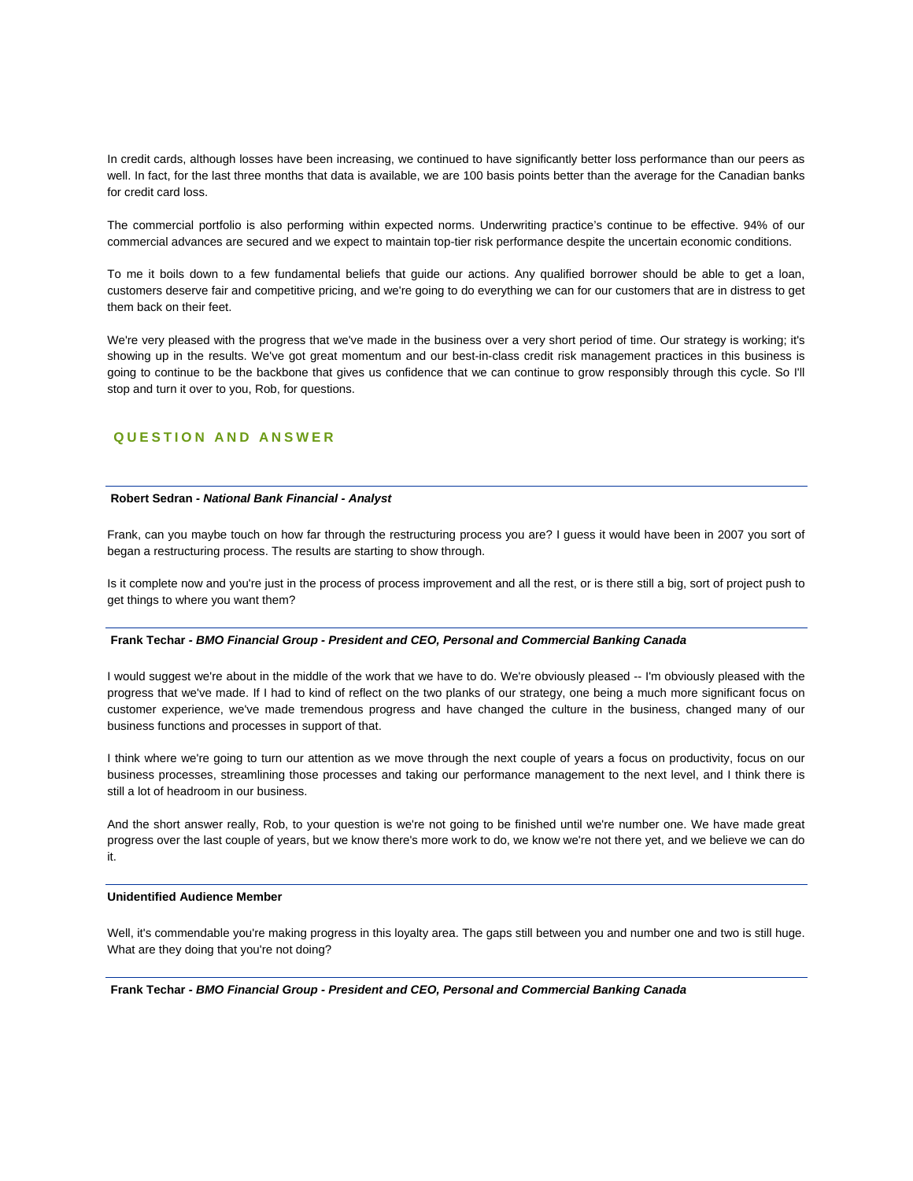In credit cards, although losses have been increasing, we continued to have significantly better loss performance than our peers as well. In fact, for the last three months that data is available, we are 100 basis points better than the average for the Canadian banks for credit card loss.

The commercial portfolio is also performing within expected norms. Underwriting practice's continue to be effective. 94% of our commercial advances are secured and we expect to maintain top-tier risk performance despite the uncertain economic conditions.

To me it boils down to a few fundamental beliefs that guide our actions. Any qualified borrower should be able to get a loan, customers deserve fair and competitive pricing, and we're going to do everything we can for our customers that are in distress to get them back on their feet.

We're very pleased with the progress that we've made in the business over a very short period of time. Our strategy is working; it's showing up in the results. We've got great momentum and our best-in-class credit risk management practices in this business is going to continue to be the backbone that gives us confidence that we can continue to grow responsibly through this cycle. So I'll stop and turn it over to you, Rob, for questions.

# **QUESTION AND ANSWER**

## **Robert Sedran** *- National Bank Financial - Analyst*

Frank, can you maybe touch on how far through the restructuring process you are? I guess it would have been in 2007 you sort of began a restructuring process. The results are starting to show through.

Is it complete now and you're just in the process of process improvement and all the rest, or is there still a big, sort of project push to get things to where you want them?

# **Frank Techar** *- BMO Financial Group - President and CEO, Personal and Commercial Banking Canada*

I would suggest we're about in the middle of the work that we have to do. We're obviously pleased -- I'm obviously pleased with the progress that we've made. If I had to kind of reflect on the two planks of our strategy, one being a much more significant focus on customer experience, we've made tremendous progress and have changed the culture in the business, changed many of our business functions and processes in support of that.

I think where we're going to turn our attention as we move through the next couple of years a focus on productivity, focus on our business processes, streamlining those processes and taking our performance management to the next level, and I think there is still a lot of headroom in our business.

And the short answer really, Rob, to your question is we're not going to be finished until we're number one. We have made great progress over the last couple of years, but we know there's more work to do, we know we're not there yet, and we believe we can do it.

### **Unidentified Audience Member**

Well, it's commendable you're making progress in this loyalty area. The gaps still between you and number one and two is still huge. What are they doing that you're not doing?

 **Frank Techar** *- BMO Financial Group - President and CEO, Personal and Commercial Banking Canada*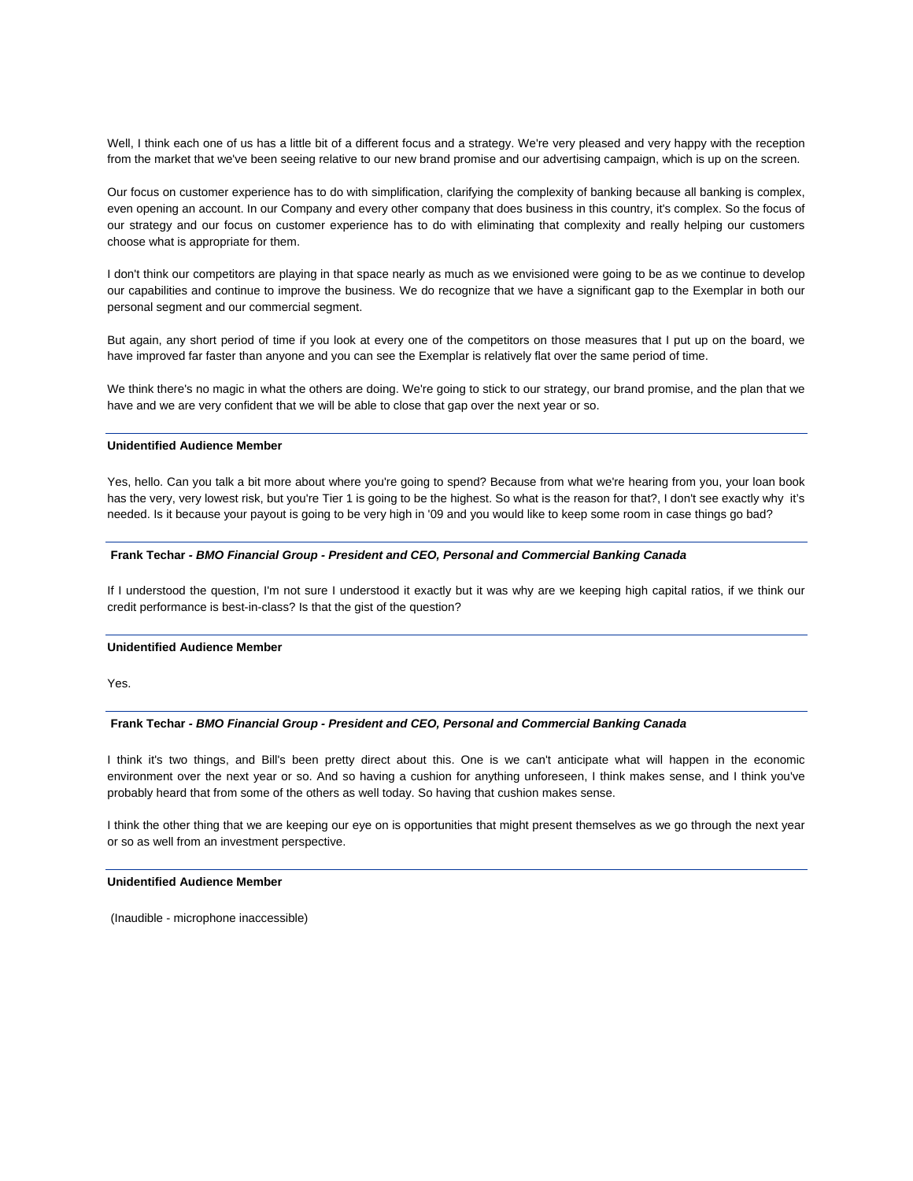Well, I think each one of us has a little bit of a different focus and a strategy. We're very pleased and very happy with the reception from the market that we've been seeing relative to our new brand promise and our advertising campaign, which is up on the screen.

Our focus on customer experience has to do with simplification, clarifying the complexity of banking because all banking is complex, even opening an account. In our Company and every other company that does business in this country, it's complex. So the focus of our strategy and our focus on customer experience has to do with eliminating that complexity and really helping our customers choose what is appropriate for them.

I don't think our competitors are playing in that space nearly as much as we envisioned were going to be as we continue to develop our capabilities and continue to improve the business. We do recognize that we have a significant gap to the Exemplar in both our personal segment and our commercial segment.

But again, any short period of time if you look at every one of the competitors on those measures that I put up on the board, we have improved far faster than anyone and you can see the Exemplar is relatively flat over the same period of time.

We think there's no magic in what the others are doing. We're going to stick to our strategy, our brand promise, and the plan that we have and we are very confident that we will be able to close that gap over the next year or so.

# **Unidentified Audience Member**

Yes, hello. Can you talk a bit more about where you're going to spend? Because from what we're hearing from you, your loan book has the very, very lowest risk, but you're Tier 1 is going to be the highest. So what is the reason for that?, I don't see exactly why it's needed. Is it because your payout is going to be very high in '09 and you would like to keep some room in case things go bad?

## **Frank Techar** *- BMO Financial Group - President and CEO, Personal and Commercial Banking Canada*

If I understood the question, I'm not sure I understood it exactly but it was why are we keeping high capital ratios, if we think our credit performance is best-in-class? Is that the gist of the question?

# **Unidentified Audience Member**

Yes.

## **Frank Techar** *- BMO Financial Group - President and CEO, Personal and Commercial Banking Canada*

I think it's two things, and Bill's been pretty direct about this. One is we can't anticipate what will happen in the economic environment over the next year or so. And so having a cushion for anything unforeseen, I think makes sense, and I think you've probably heard that from some of the others as well today. So having that cushion makes sense.

I think the other thing that we are keeping our eye on is opportunities that might present themselves as we go through the next year or so as well from an investment perspective.

# **Unidentified Audience Member**

(Inaudible - microphone inaccessible)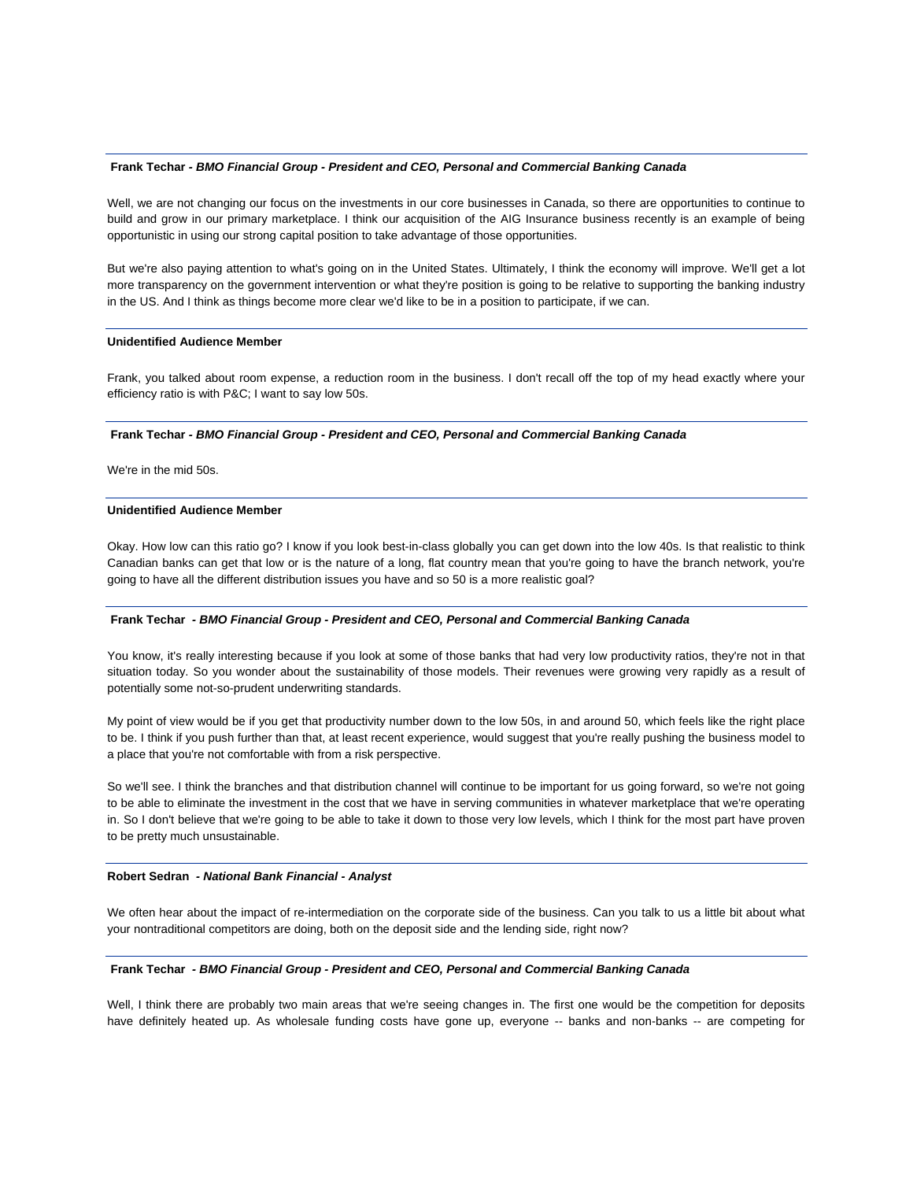## **Frank Techar** *- BMO Financial Group - President and CEO, Personal and Commercial Banking Canada*

Well, we are not changing our focus on the investments in our core businesses in Canada, so there are opportunities to continue to build and grow in our primary marketplace. I think our acquisition of the AIG Insurance business recently is an example of being opportunistic in using our strong capital position to take advantage of those opportunities.

But we're also paying attention to what's going on in the United States. Ultimately, I think the economy will improve. We'll get a lot more transparency on the government intervention or what they're position is going to be relative to supporting the banking industry in the US. And I think as things become more clear we'd like to be in a position to participate, if we can.

### **Unidentified Audience Member**

Frank, you talked about room expense, a reduction room in the business. I don't recall off the top of my head exactly where your efficiency ratio is with P&C; I want to say low 50s.

## **Frank Techar** *- BMO Financial Group - President and CEO, Personal and Commercial Banking Canada*

We're in the mid 50s.

# **Unidentified Audience Member**

Okay. How low can this ratio go? I know if you look best-in-class globally you can get down into the low 40s. Is that realistic to think Canadian banks can get that low or is the nature of a long, flat country mean that you're going to have the branch network, you're going to have all the different distribution issues you have and so 50 is a more realistic goal?

### **Frank Techar** *- BMO Financial Group - President and CEO, Personal and Commercial Banking Canada*

You know, it's really interesting because if you look at some of those banks that had very low productivity ratios, they're not in that situation today. So you wonder about the sustainability of those models. Their revenues were growing very rapidly as a result of potentially some not-so-prudent underwriting standards.

My point of view would be if you get that productivity number down to the low 50s, in and around 50, which feels like the right place to be. I think if you push further than that, at least recent experience, would suggest that you're really pushing the business model to a place that you're not comfortable with from a risk perspective.

So we'll see. I think the branches and that distribution channel will continue to be important for us going forward, so we're not going to be able to eliminate the investment in the cost that we have in serving communities in whatever marketplace that we're operating in. So I don't believe that we're going to be able to take it down to those very low levels, which I think for the most part have proven to be pretty much unsustainable.

# **Robert Sedran** *- National Bank Financial - Analyst*

We often hear about the impact of re-intermediation on the corporate side of the business. Can you talk to us a little bit about what your nontraditional competitors are doing, both on the deposit side and the lending side, right now?

## **Frank Techar** *- BMO Financial Group - President and CEO, Personal and Commercial Banking Canada*

Well, I think there are probably two main areas that we're seeing changes in. The first one would be the competition for deposits have definitely heated up. As wholesale funding costs have gone up, everyone -- banks and non-banks -- are competing for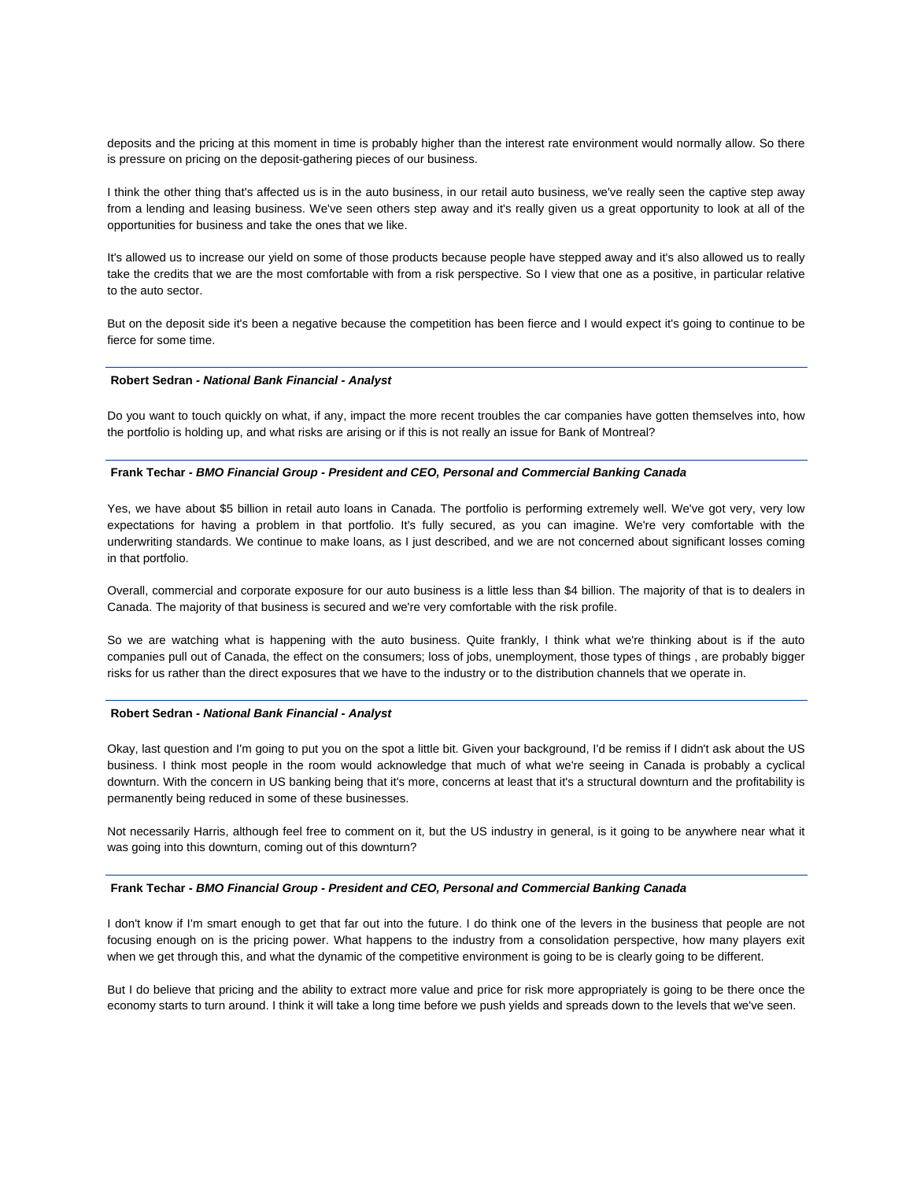deposits and the pricing at this moment in time is probably higher than the interest rate environment would normally allow. So there is pressure on pricing on the deposit-gathering pieces of our business.

I think the other thing that's affected us is in the auto business, in our retail auto business, we've really seen the captive step away from a lending and leasing business. We've seen others step away and it's really given us a great opportunity to look at all of the opportunities for business and take the ones that we like.

It's allowed us to increase our yield on some of those products because people have stepped away and it's also allowed us to really take the credits that we are the most comfortable with from a risk perspective. So I view that one as a positive, in particular relative to the auto sector.

But on the deposit side it's been a negative because the competition has been fierce and I would expect it's going to continue to be fierce for some time.

#### **Robert Sedran** *- National Bank Financial - Analyst*

Do you want to touch quickly on what, if any, impact the more recent troubles the car companies have gotten themselves into, how the portfolio is holding up, and what risks are arising or if this is not really an issue for Bank of Montreal?

## **Frank Techar** *- BMO Financial Group - President and CEO, Personal and Commercial Banking Canada*

Yes, we have about \$5 billion in retail auto loans in Canada. The portfolio is performing extremely well. We've got very, very low expectations for having a problem in that portfolio. It's fully secured, as you can imagine. We're very comfortable with the underwriting standards. We continue to make loans, as I just described, and we are not concerned about significant losses coming in that portfolio.

Overall, commercial and corporate exposure for our auto business is a little less than \$4 billion. The majority of that is to dealers in Canada. The majority of that business is secured and we're very comfortable with the risk profile.

So we are watching what is happening with the auto business. Quite frankly, I think what we're thinking about is if the auto companies pull out of Canada, the effect on the consumers; loss of jobs, unemployment, those types of things , are probably bigger risks for us rather than the direct exposures that we have to the industry or to the distribution channels that we operate in.

# **Robert Sedran** *- National Bank Financial - Analyst*

Okay, last question and I'm going to put you on the spot a little bit. Given your background, I'd be remiss if I didn't ask about the US business. I think most people in the room would acknowledge that much of what we're seeing in Canada is probably a cyclical downturn. With the concern in US banking being that it's more, concerns at least that it's a structural downturn and the profitability is permanently being reduced in some of these businesses.

Not necessarily Harris, although feel free to comment on it, but the US industry in general, is it going to be anywhere near what it was going into this downturn, coming out of this downturn?

## **Frank Techar** *- BMO Financial Group - President and CEO, Personal and Commercial Banking Canada*

I don't know if I'm smart enough to get that far out into the future. I do think one of the levers in the business that people are not focusing enough on is the pricing power. What happens to the industry from a consolidation perspective, how many players exit when we get through this, and what the dynamic of the competitive environment is going to be is clearly going to be different.

But I do believe that pricing and the ability to extract more value and price for risk more appropriately is going to be there once the economy starts to turn around. I think it will take a long time before we push yields and spreads down to the levels that we've seen.